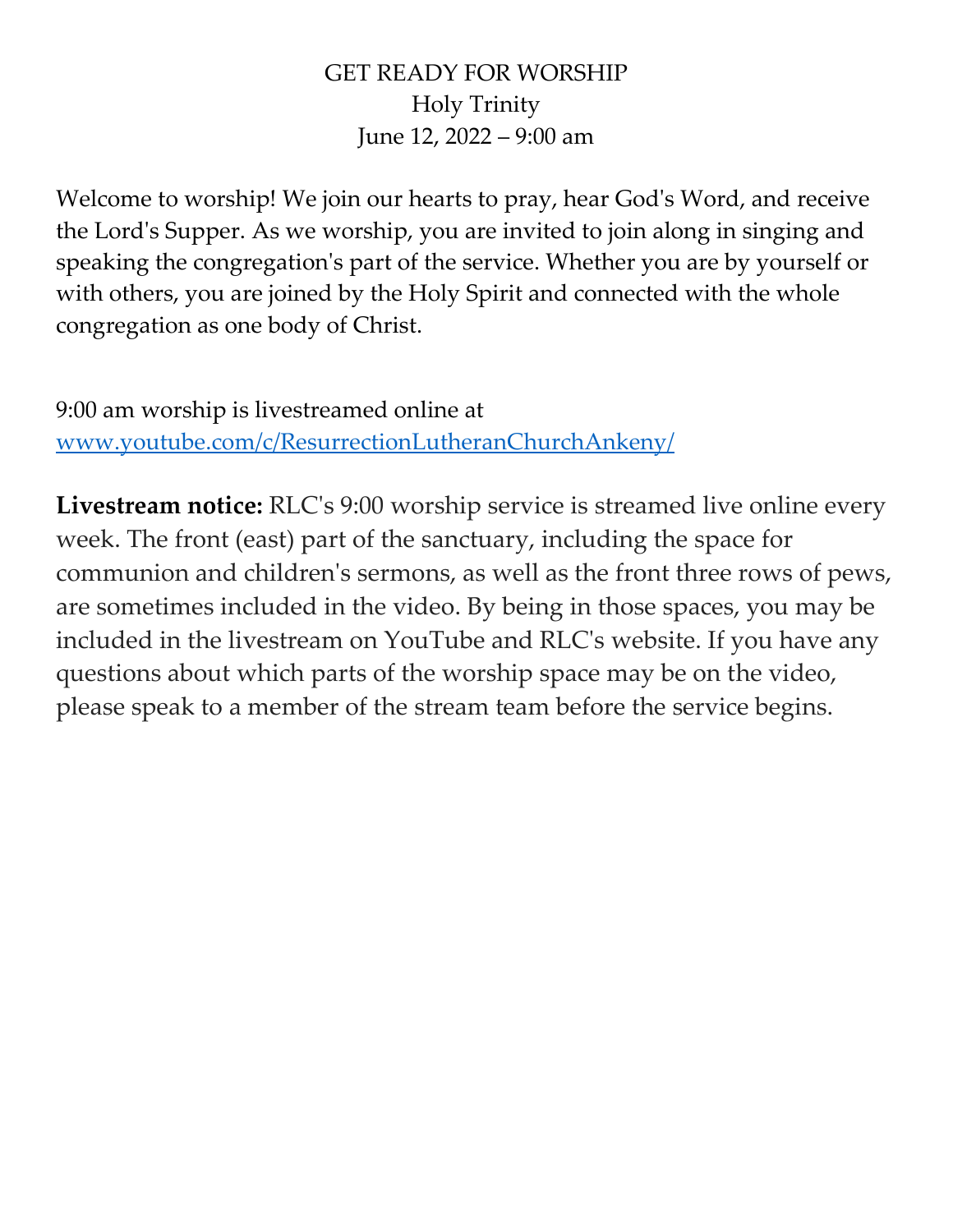## GET READY FOR WORSHIP Holy Trinity June 12, 2022 – 9:00 am

Welcome to worship! We join our hearts to pray, hear God's Word, and receive the Lord's Supper. As we worship, you are invited to join along in singing and speaking the congregation's part of the service. Whether you are by yourself or with others, you are joined by the Holy Spirit and connected with the whole congregation as one body of Christ.

9:00 am worship is livestreamed online at [www.youtube.com/c/ResurrectionLutheranChurchAnkeny/](http://www.youtube.com/c/ResurrectionLutheranChurchAnkeny/)

**Livestream notice:** RLC's 9:00 worship service is streamed live online every week. The front (east) part of the sanctuary, including the space for communion and children's sermons, as well as the front three rows of pews, are sometimes included in the video. By being in those spaces, you may be included in the livestream on YouTube and RLC's website. If you have any questions about which parts of the worship space may be on the video, please speak to a member of the stream team before the service begins.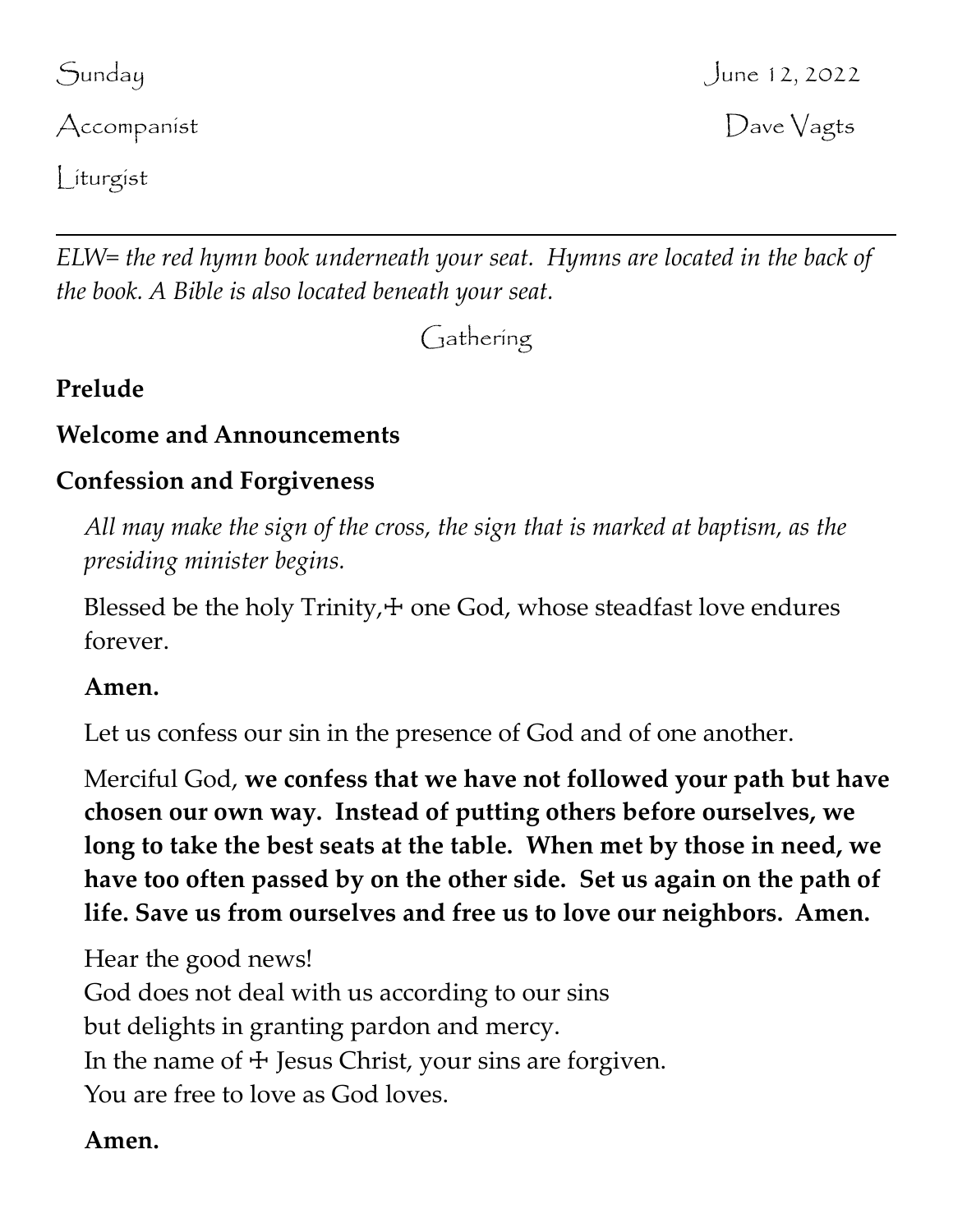Accompanist Dave Vagts

Liturgist

*ELW= the red hymn book underneath your seat. Hymns are located in the back of the book. A Bible is also located beneath your seat.*

Gathering

# **Prelude**

## **Welcome and Announcements**

# **Confession and Forgiveness**

*All may make the sign of the cross, the sign that is marked at baptism, as the presiding minister begins.*

Blessed be the holy  $Trinity,  $+$$  one God, whose steadfast love endures forever.

## **Amen.**

Let us confess our sin in the presence of God and of one another.

Merciful God, **we confess that we have not followed your path but have chosen our own way. Instead of putting others before ourselves, we long to take the best seats at the table. When met by those in need, we have too often passed by on the other side. Set us again on the path of life. Save us from ourselves and free us to love our neighbors. Amen.**

Hear the good news! God does not deal with us according to our sins but delights in granting pardon and mercy. In the name of  $\pm$  Jesus Christ, your sins are forgiven. You are free to love as God loves.

## **Amen.**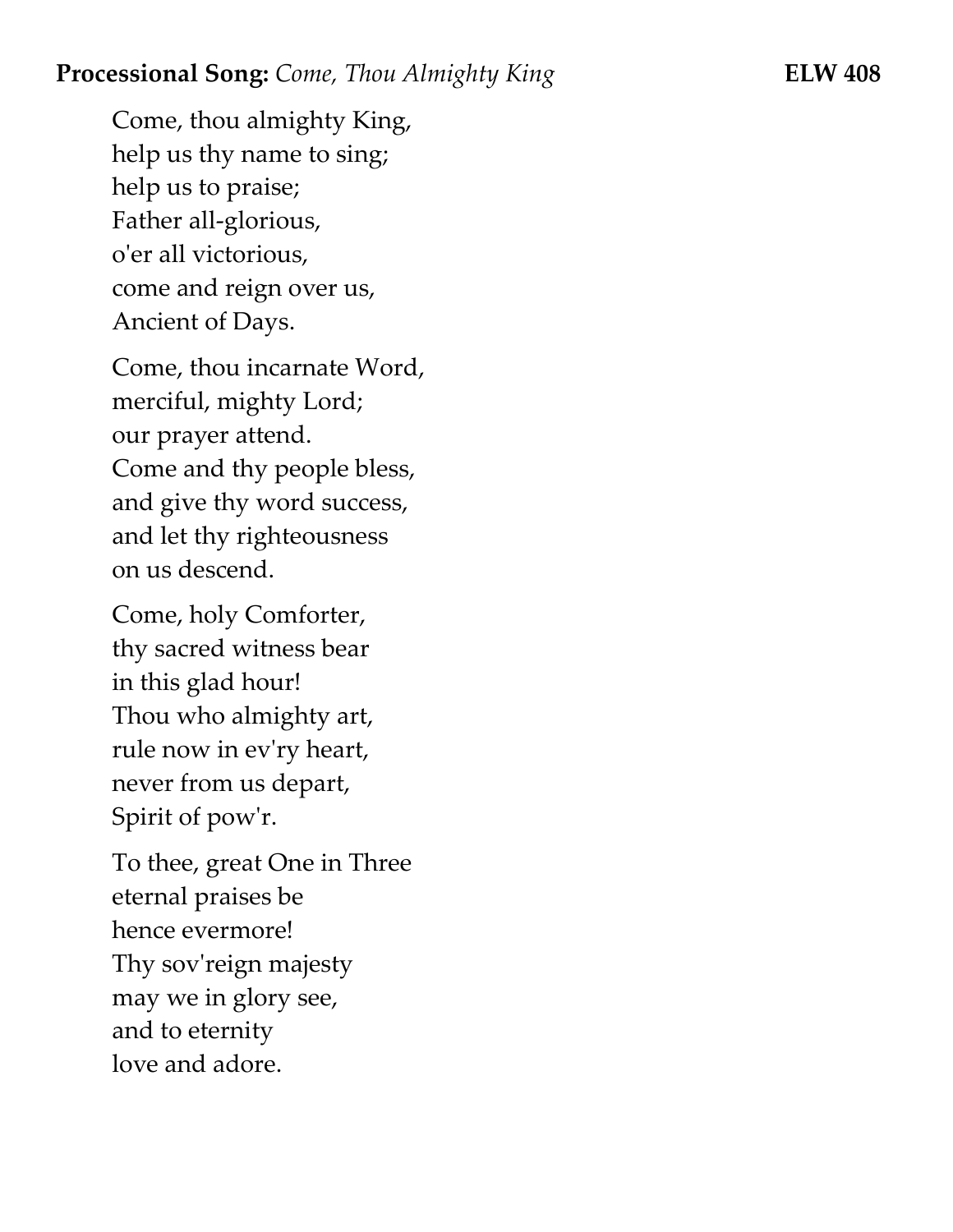#### **Processional Song:** *Come, Thou Almighty King* **ELW 408**

Come, thou almighty King, help us thy name to sing; help us to praise; Father all-glorious, o'er all victorious, come and reign over us, Ancient of Days.

Come, thou incarnate Word, merciful, mighty Lord; our prayer attend. Come and thy people bless, and give thy word success, and let thy righteousness on us descend.

Come, holy Comforter, thy sacred witness bear in this glad hour! Thou who almighty art, rule now in ev'ry heart, never from us depart, Spirit of pow'r.

To thee, great One in Three eternal praises be hence evermore! Thy sov'reign majesty may we in glory see, and to eternity love and adore.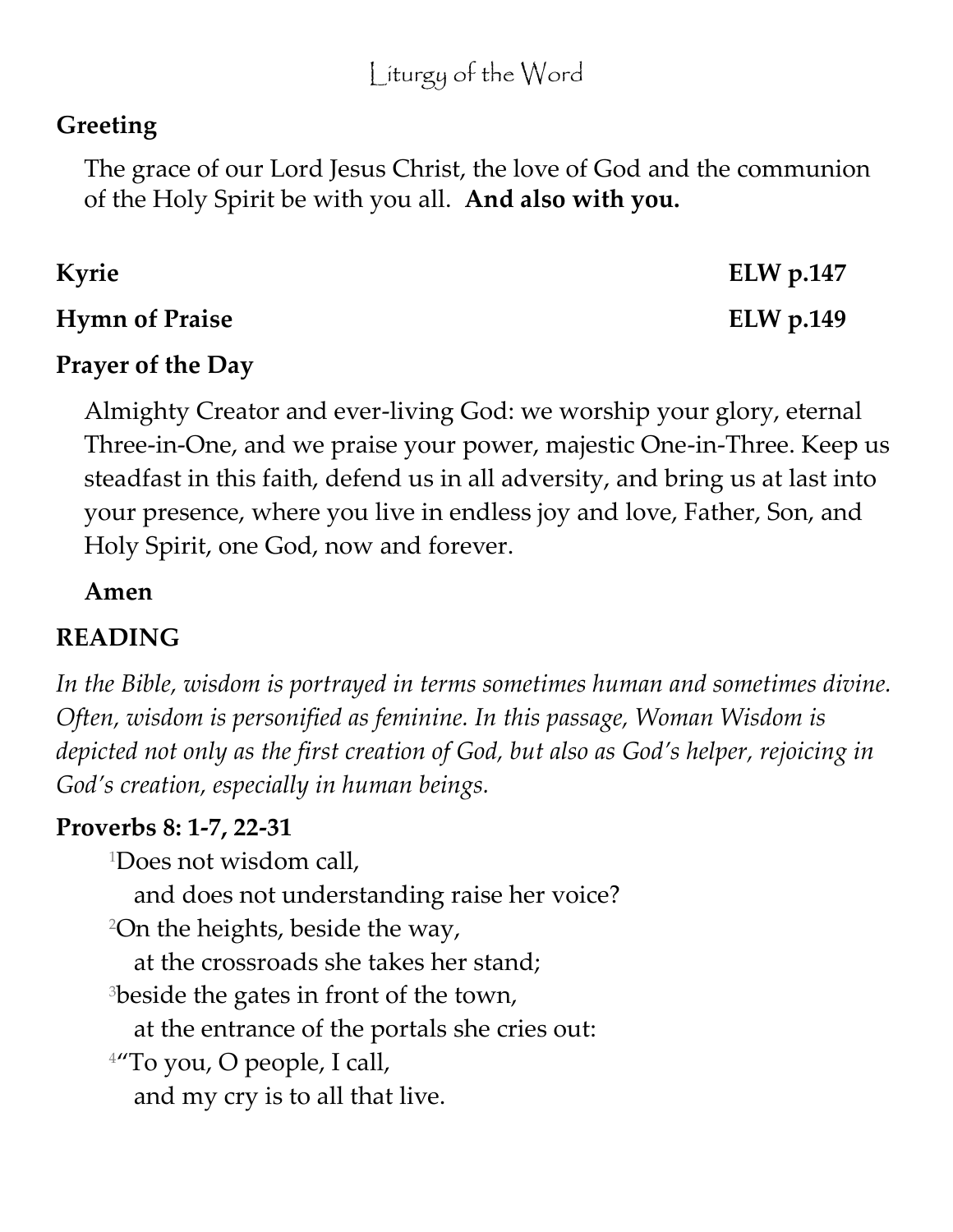# **Greeting**

The grace of our Lord Jesus Christ, the love of God and the communion of the Holy Spirit be with you all. **And also with you.**

| Kyrie                 | ELW $p.147$ |
|-----------------------|-------------|
| <b>Hymn of Praise</b> | ELW $p.149$ |

## **Prayer of the Day**

Almighty Creator and ever-living God: we worship your glory, eternal Three-in-One, and we praise your power, majestic One-in-Three. Keep us steadfast in this faith, defend us in all adversity, and bring us at last into your presence, where you live in endless joy and love, Father, Son, and Holy Spirit, one God, now and forever.

## **Amen**

# **READING**

*In the Bible, wisdom is portrayed in terms sometimes human and sometimes divine. Often, wisdom is personified as feminine. In this passage, Woman Wisdom is depicted not only as the first creation of God, but also as God's helper, rejoicing in God's creation, especially in human beings.*

## **Proverbs 8: 1-7, 22-31**

<sup>1</sup>Does not wisdom call,

and does not understanding raise her voice?

<sup>2</sup>On the heights, beside the way,

at the crossroads she takes her stand;

<sup>3</sup>beside the gates in front of the town,

at the entrance of the portals she cries out:

<sup>4</sup>"To you, O people, I call,

and my cry is to all that live.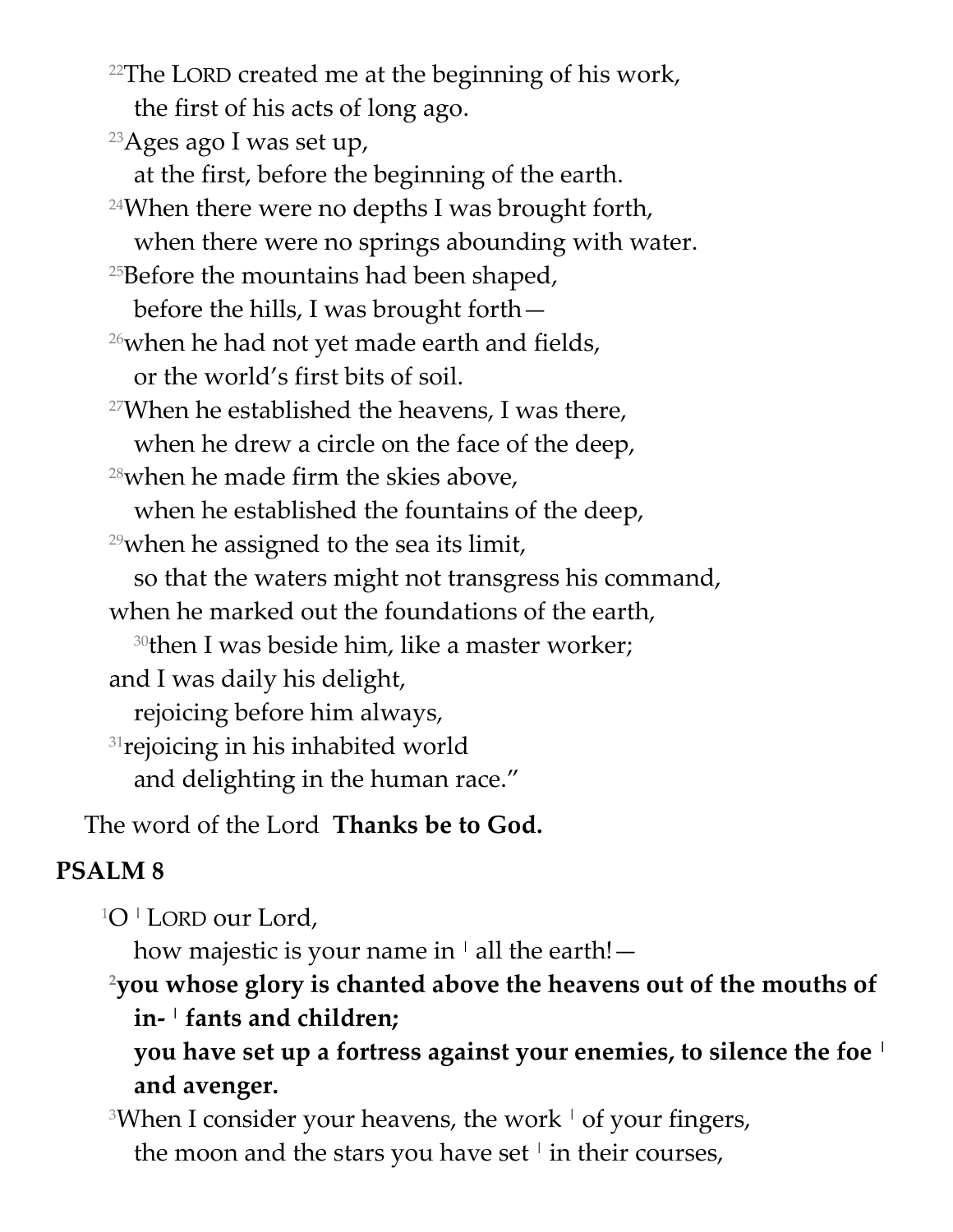$22$ The LORD created me at the beginning of his work, the first of his acts of long ago.

<sup>23</sup>Ages ago I was set up,

at the first, before the beginning of the earth.

 $24$ When there were no depths I was brought forth, when there were no springs abounding with water.

 $25$ Before the mountains had been shaped,

before the hills, I was brought forth—

 $26$  when he had not yet made earth and fields, or the world's first bits of soil.

 $27$ When he established the heavens, I was there, when he drew a circle on the face of the deep,

 $28$ when he made firm the skies above,

when he established the fountains of the deep,

 $29$  when he assigned to the sea its limit,

so that the waters might not transgress his command,

when he marked out the foundations of the earth,

<sup>30</sup>then I was beside him, like a master worker;

and I was daily his delight,

rejoicing before him always,

<sup>31</sup> rejoicing in his inhabited world

and delighting in the human race."

The word of the Lord **Thanks be to God.**

## **PSALM 8**

<sup>1</sup>O <sup>|</sup> LORD our Lord,

how majestic is your name in  $\perp$  all the earth! —

**<sup>2</sup>you whose glory is chanted above the heavens out of the mouths of in- <sup>|</sup> fants and children;**

**you have set up a fortress against your enemies, to silence the foe <sup>|</sup> and avenger.**

<sup>3</sup>When I consider your heavens, the work  $\pm$  of your fingers, the moon and the stars you have set  $^{\dagger}$  in their courses,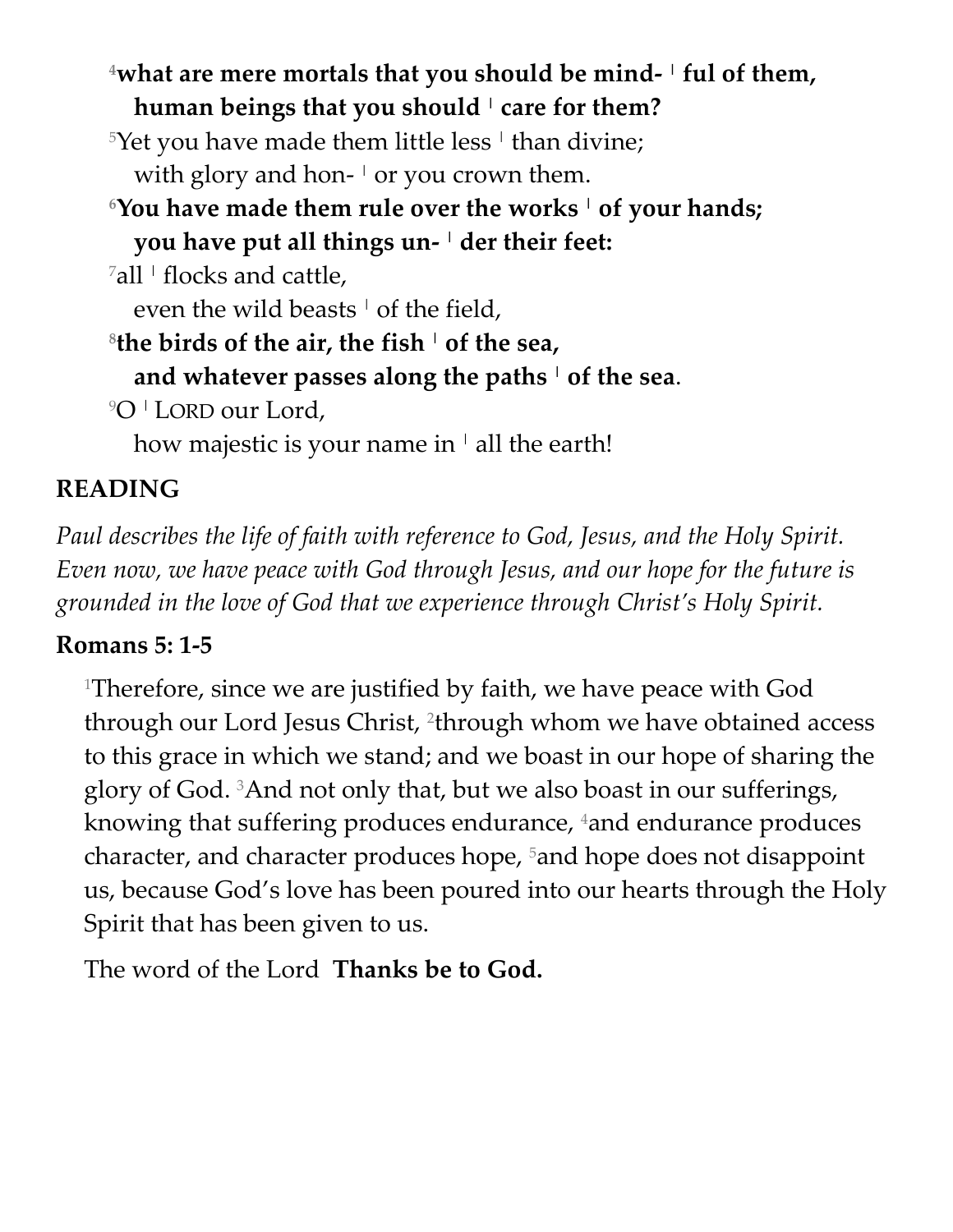**<sup>4</sup>what are mere mortals that you should be mind- <sup>|</sup> ful of them, human beings that you should <sup>|</sup> care for them?**

 $5$ Yet you have made them little less  $^\mathrm{!}$  than divine; with glory and hon- <sup>|</sup> or you crown them.

- **<sup>6</sup>You have made them rule over the works <sup>|</sup> of your hands;**
	- **you have put all things un- <sup>|</sup> der their feet:**

 $^7$ all  $^+$  flocks and cattle,

even the wild beasts  $\frac{1}{1}$  of the field,

**8 the birds of the air, the fish <sup>|</sup> of the sea,**

**and whatever passes along the paths <sup>|</sup> of the sea**.

<sup>9</sup>O <sup>|</sup> LORD our Lord,

how majestic is your name in  $\vert$  all the earth!

# **READING**

*Paul describes the life of faith with reference to God, Jesus, and the Holy Spirit. Even now, we have peace with God through Jesus, and our hope for the future is grounded in the love of God that we experience through Christ's Holy Spirit.*

# **Romans 5: 1-5**

<sup>1</sup>Therefore, since we are justified by faith, we have peace with God through our Lord Jesus Christ, <sup>2</sup>through whom we have obtained access to this grace in which we stand; and we boast in our hope of sharing the glory of God. 3And not only that, but we also boast in our sufferings, knowing that suffering produces endurance, 4 and endurance produces character, and character produces hope, 5and hope does not disappoint us, because God's love has been poured into our hearts through the Holy Spirit that has been given to us.

The word of the Lord **Thanks be to God.**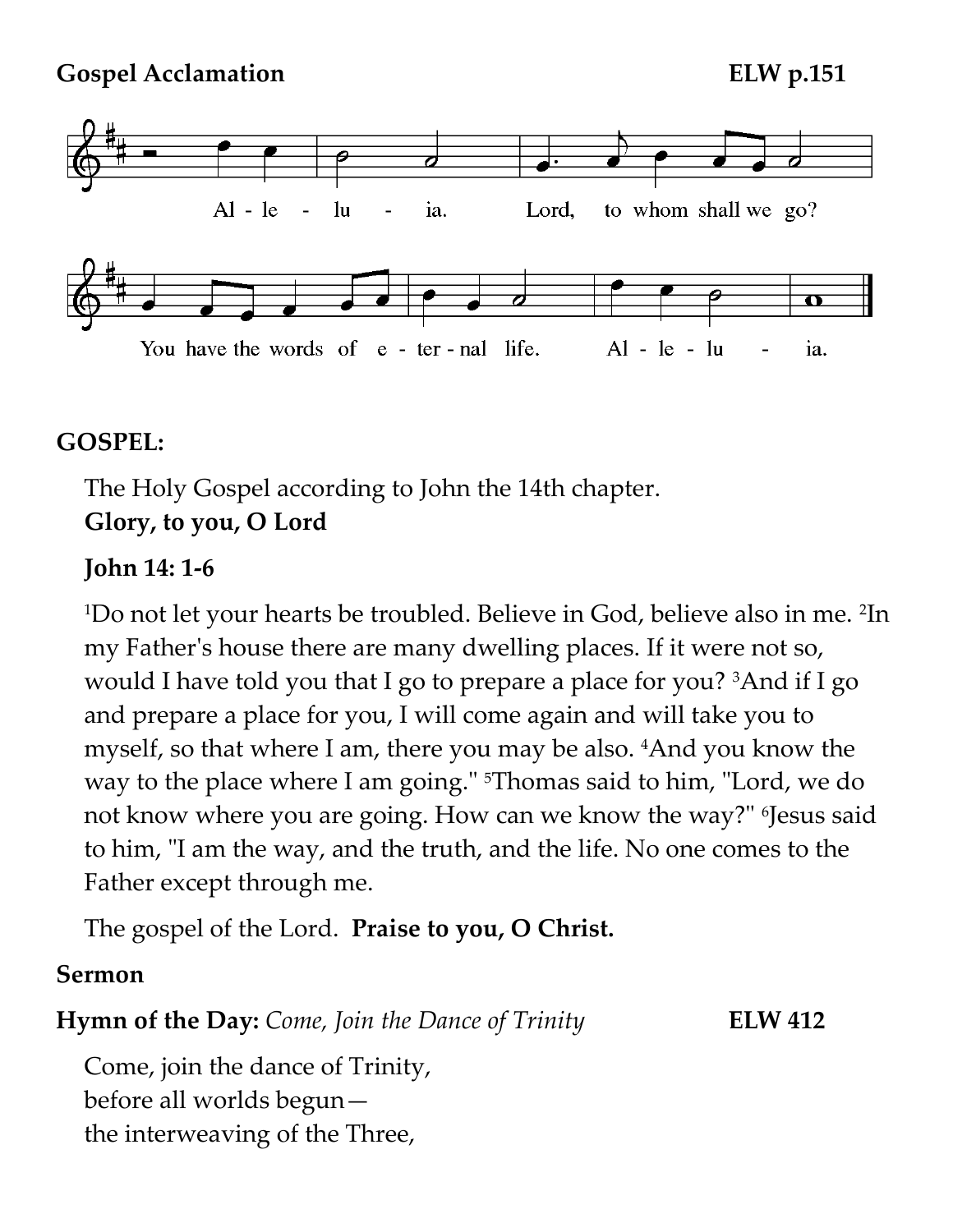**Gospel Acclamation ELW p.151**



#### **GOSPEL:**

The Holy Gospel according to John the 14th chapter. **Glory, to you, O Lord**

#### **John 14: 1-6**

<sup>1</sup>Do not let your hearts be troubled. Believe in God, believe also in me. <sup>2</sup> In my Father's house there are many dwelling places. If it were not so, would I have told you that I go to prepare a place for you? <sup>3</sup>And if I go and prepare a place for you, I will come again and will take you to myself, so that where I am, there you may be also. 4And you know the way to the place where I am going." 5Thomas said to him, "Lord, we do not know where you are going. How can we know the way?" <sup>6</sup> Jesus said to him, "I am the way, and the truth, and the life. No one comes to the Father except through me.

The gospel of the Lord. **Praise to you, O Christ.**

#### **Sermon**

**Hymn of the Day:** *Come, Join the Dance of Trinity* **ELW 412**

Come, join the dance of Trinity, before all worlds begun the interweaving of the Three,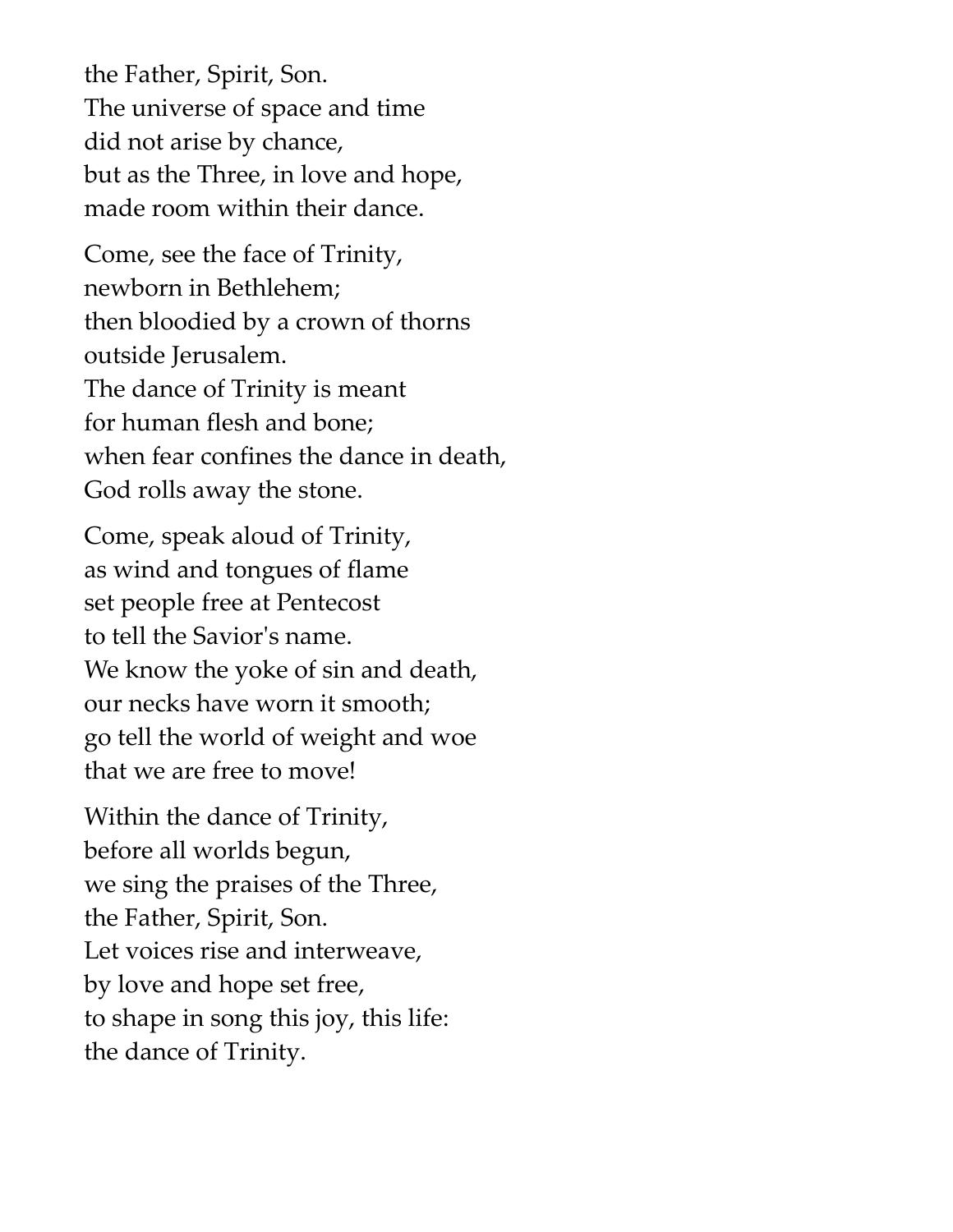the Father, Spirit, Son. The universe of space and time did not arise by chance, but as the Three, in love and hope, made room within their dance.

Come, see the face of Trinity, newborn in Bethlehem; then bloodied by a crown of thorns outside Jerusalem. The dance of Trinity is meant for human flesh and bone; when fear confines the dance in death, God rolls away the stone.

Come, speak aloud of Trinity, as wind and tongues of flame set people free at Pentecost to tell the Savior's name. We know the yoke of sin and death, our necks have worn it smooth; go tell the world of weight and woe that we are free to move!

Within the dance of Trinity, before all worlds begun, we sing the praises of the Three, the Father, Spirit, Son. Let voices rise and interweave, by love and hope set free, to shape in song this joy, this life: the dance of Trinity.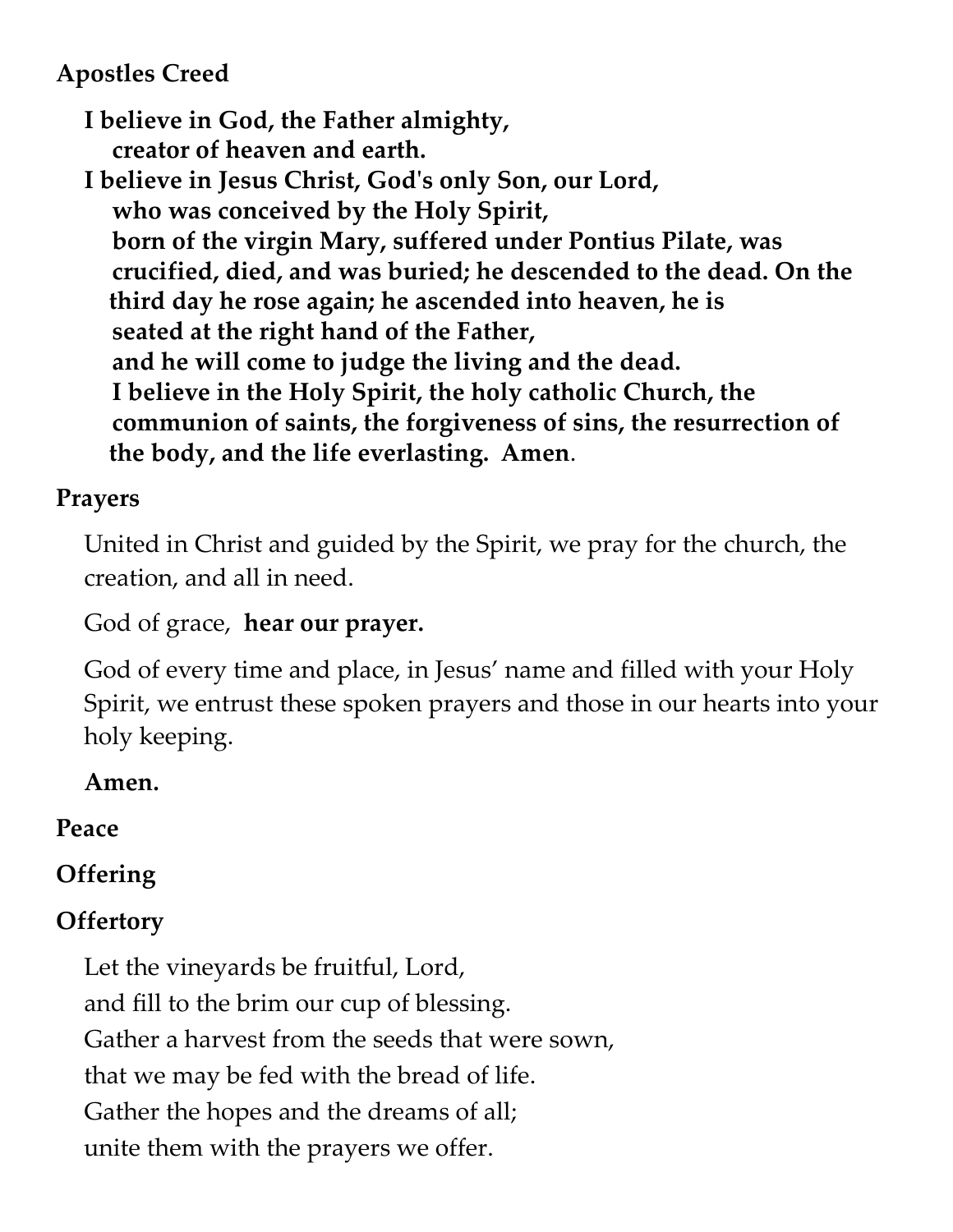## **Apostles Creed**

**I believe in God, the Father almighty, creator of heaven and earth.**

**I believe in Jesus Christ, God's only Son, our Lord, who was conceived by the Holy Spirit, born of the virgin Mary, suffered under Pontius Pilate, was crucified, died, and was buried; he descended to the dead. On the third day he rose again; he ascended into heaven, he is seated at the right hand of the Father, and he will come to judge the living and the dead. I believe in the Holy Spirit, the holy catholic Church, the communion of saints, the forgiveness of sins, the resurrection of the body, and the life everlasting. Amen**.

## **Prayers**

United in Christ and guided by the Spirit, we pray for the church, the creation, and all in need.

God of grace, **hear our prayer.**

God of every time and place, in Jesus' name and filled with your Holy Spirit, we entrust these spoken prayers and those in our hearts into your holy keeping.

## **Amen.**

# **Peace**

# **Offering**

# **Offertory**

Let the vineyards be fruitful, Lord, and fill to the brim our cup of blessing. Gather a harvest from the seeds that were sown, that we may be fed with the bread of life. Gather the hopes and the dreams of all; unite them with the prayers we offer.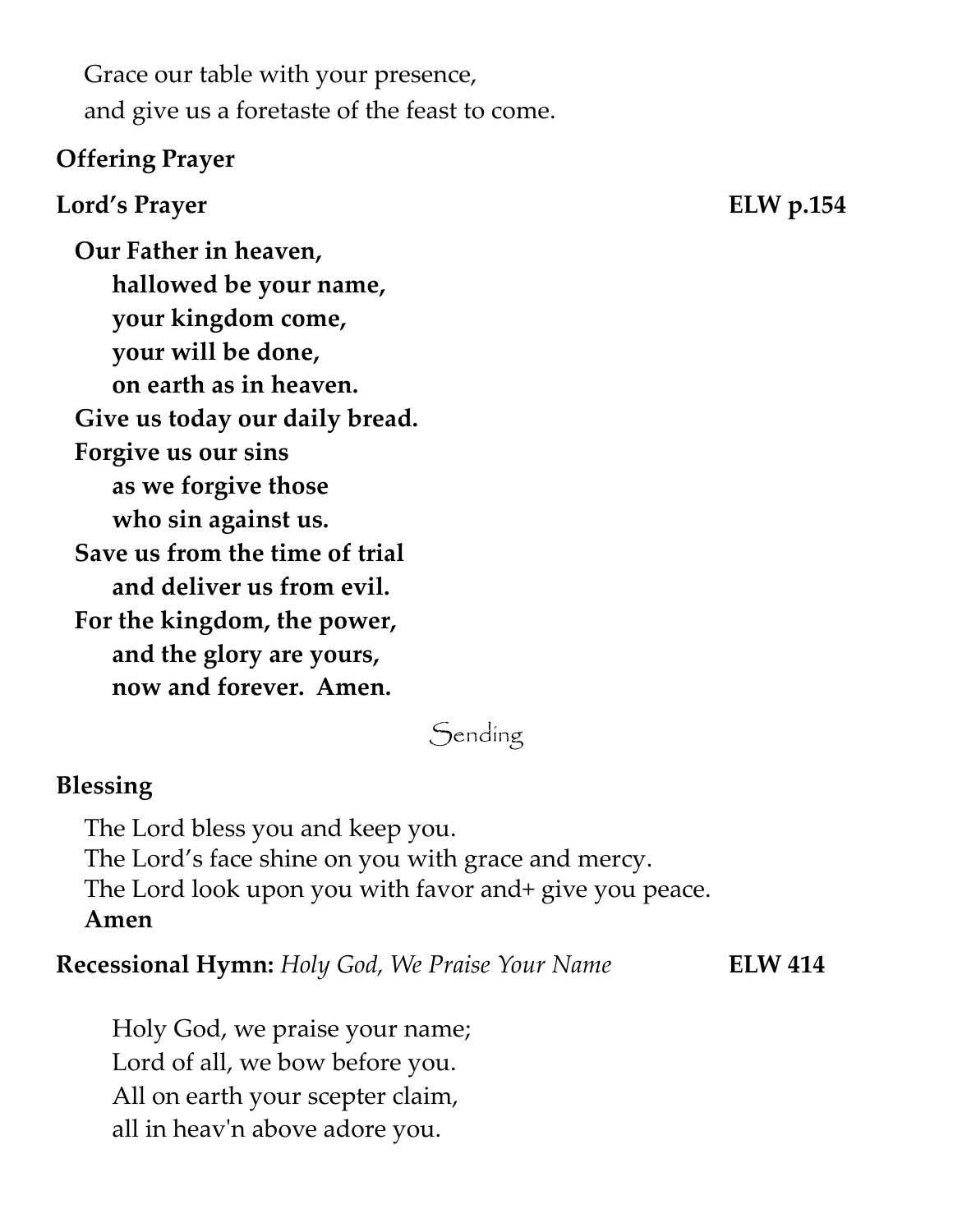Grace our table with your presence, and give us a foretaste of the feast to come.

#### **Offering Prayer**

#### **Lord's Prayer ELW p.154**

 **Our Father in heaven, hallowed be your name, your kingdom come, your will be done, on earth as in heaven. Give us today our daily bread. Forgive us our sins as we forgive those who sin against us. Save us from the time of trial and deliver us from evil. For the kingdom, the power, and the glory are yours, now and forever. Amen.**

# Sending

#### **Blessing**

The Lord bless you and keep you. The Lord's face shine on you with grace and mercy. The Lord look upon you with favor and+ give you peace. **Amen**

**Recessional Hymn:** *Holy God, We Praise Your Name* **ELW 414**

Holy God, we praise your name; Lord of all, we bow before you. All on earth your scepter claim, all in heav'n above adore you.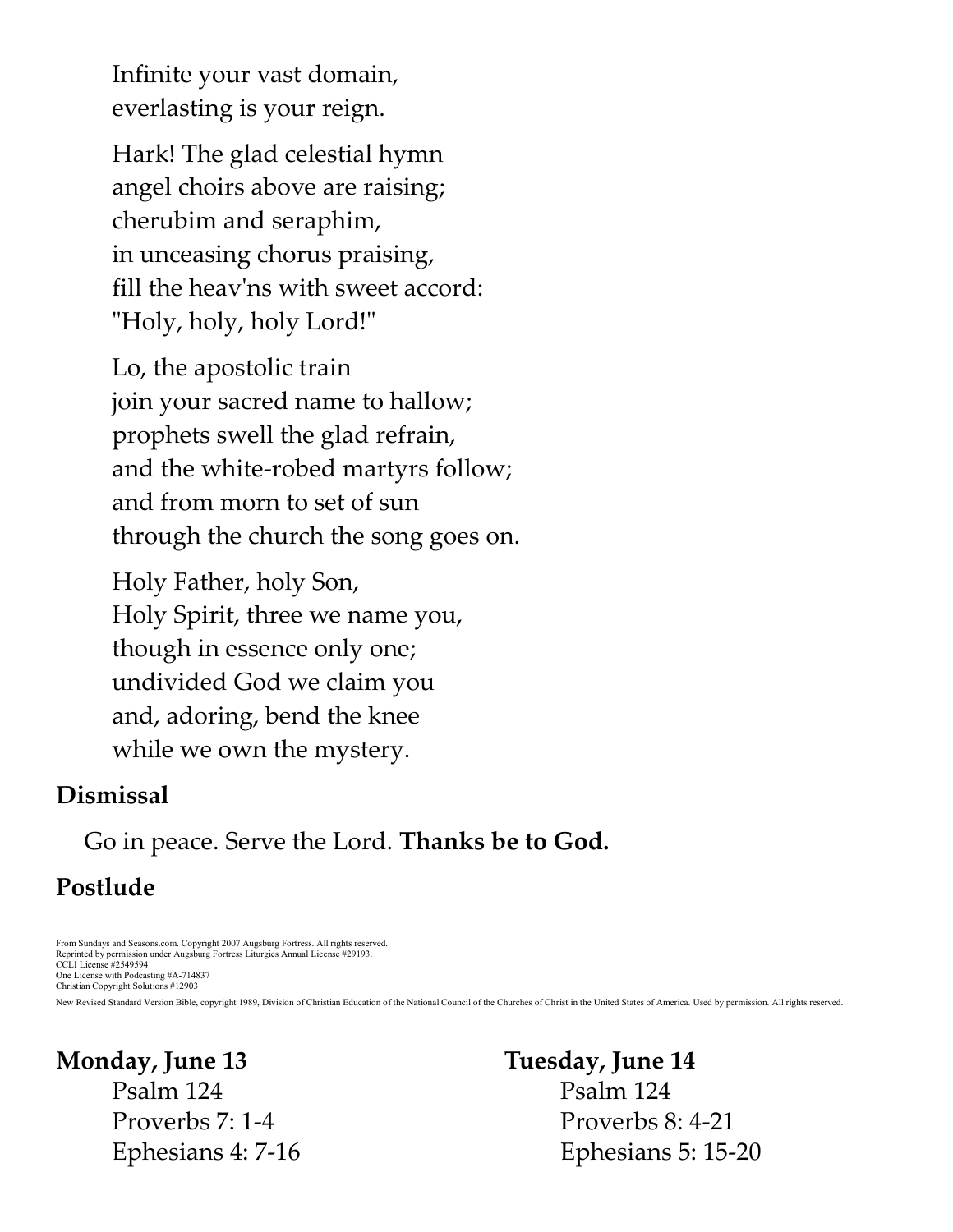Infinite your vast domain, everlasting is your reign.

Hark! The glad celestial hymn angel choirs above are raising; cherubim and seraphim, in unceasing chorus praising, fill the heav'ns with sweet accord: "Holy, holy, holy Lord!"

Lo, the apostolic train join your sacred name to hallow; prophets swell the glad refrain, and the white-robed martyrs follow; and from morn to set of sun through the church the song goes on.

Holy Father, holy Son, Holy Spirit, three we name you, though in essence only one; undivided God we claim you and, adoring, bend the knee while we own the mystery.

#### **Dismissal**

Go in peace. Serve the Lord. **Thanks be to God.**

# **Postlude**

From Sundays and Seasons.com. Copyright 2007 Augsburg Fortress. All rights reserved. Reprinted by permission under Augsburg Fortress Liturgies Annual License #29193. CCLI License #2549594 One License with Podcasting #A-714837 Christian Copyright Solutions #12903

New Revised Standard Version Bible, copyright 1989, Division of Christian Education of the National Council of the Churches of Christ in the United States of America. Used by permission. All rights reserved.

# **Monday, June 13**

Psalm 124 Proverbs 7: 1-4 Ephesians 4: 7-16

#### **Tuesday, June 14**

Psalm 124 Proverbs 8: 4-21 Ephesians 5: 15-20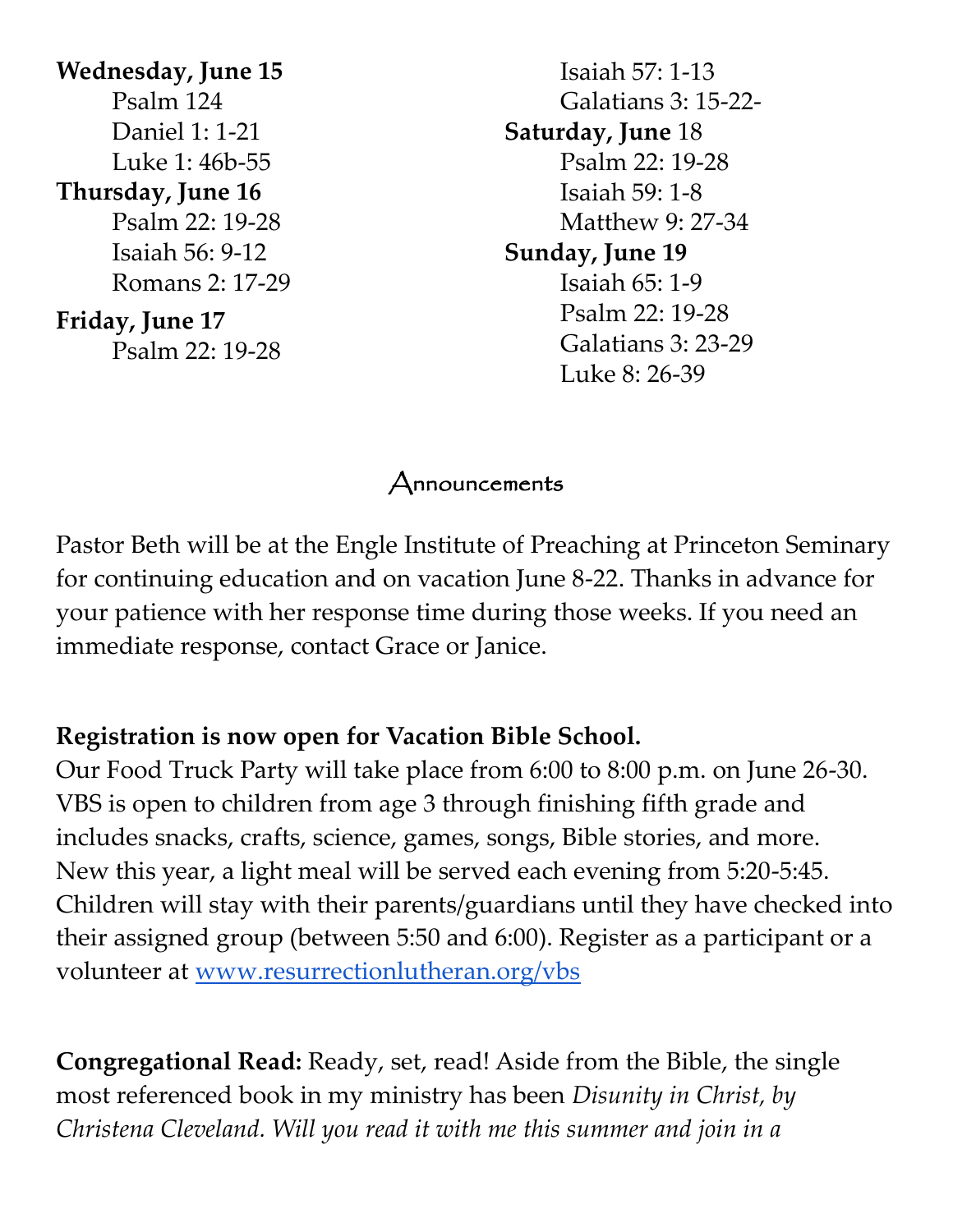**Wednesday, June 15** Psalm 124 Daniel 1: 1-21 Luke 1: 46b-55 **Thursday, June 16** Psalm 22: 19-28 Isaiah 56: 9-12 Romans 2: 17-29 **Friday, June 17** Psalm 22: 19-28

Isaiah 57: 1-13 Galatians 3: 15-22- **Saturday, June** 18 Psalm 22: 19-28 Isaiah 59: 1-8 Matthew 9: 27-34 **Sunday, June 19** Isaiah 65: 1-9 Psalm 22: 19-28 Galatians 3: 23-29 Luke 8: 26-39

## Announcements

Pastor Beth will be at the Engle Institute of Preaching at Princeton Seminary for continuing education and on vacation June 8-22. Thanks in advance for your patience with her response time during those weeks. If you need an immediate response, contact Grace or Janice.

## **Registration is now open for Vacation Bible School.**

Our Food Truck Party will take place from 6:00 to 8:00 p.m. on June 26-30. VBS is open to children from age 3 through finishing fifth grade and includes snacks, crafts, science, games, songs, Bible stories, and more. New this year, a light meal will be served each evening from 5:20-5:45. Children will stay with their parents/guardians until they have checked into their assigned group (between 5:50 and 6:00). Register as a participant or a volunteer at [www.resurrectionlutheran.org/vbs](http://www.resurrectionlutheran.org/vbs)

**Congregational Read:** Ready, set, read! Aside from the Bible, the single most referenced book in my ministry has been *Disunity in Christ, by Christena Cleveland. Will you read it with me this summer and join in a*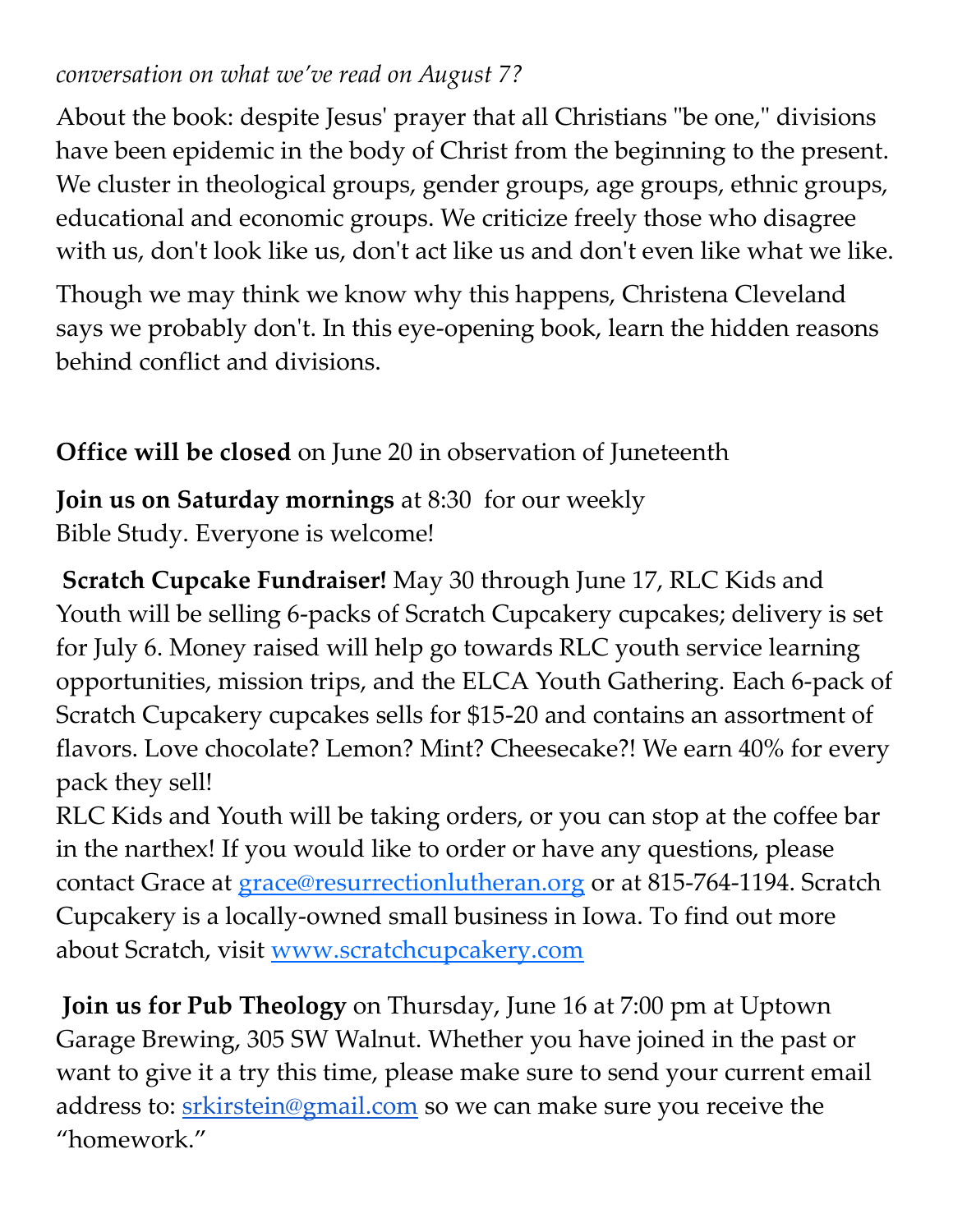## *conversation on what we've read on August 7?*

About the book: despite Jesus' prayer that all Christians "be one," divisions have been epidemic in the body of Christ from the beginning to the present. We cluster in theological groups, gender groups, age groups, ethnic groups, educational and economic groups. We criticize freely those who disagree with us, don't look like us, don't act like us and don't even like what we like.

Though we may think we know why this happens, Christena Cleveland says we probably don't. In this eye-opening book, learn the hidden reasons behind conflict and divisions.

# **Office will be closed** on June 20 in observation of Juneteenth

**Join us on Saturday mornings** at 8:30 for our weekly Bible Study. Everyone is welcome!

**Scratch Cupcake Fundraiser!** May 30 through June 17, RLC Kids and Youth will be selling 6-packs of Scratch Cupcakery cupcakes; delivery is set for July 6. Money raised will help go towards RLC youth service learning opportunities, mission trips, and the ELCA Youth Gathering. Each 6-pack of Scratch Cupcakery cupcakes sells for \$15-20 and contains an assortment of flavors. Love chocolate? Lemon? Mint? Cheesecake?! We earn 40% for every pack they sell!

RLC Kids and Youth will be taking orders, or you can stop at the coffee bar in the narthex! If you would like to order or have any questions, please contact Grace at [grace@resurrectionlutheran.org](mailto:grace@resurrectionlutheran.org) or at 815-764-1194. Scratch Cupcakery is a locally-owned small business in Iowa. To find out more about Scratch, visit [www.scratchcupcakery.com](http://www.scratchcupcakery.com/)

**Join us for Pub Theology** on Thursday, June 16 at 7:00 pm at Uptown Garage Brewing, 305 SW Walnut. Whether you have joined in the past or want to give it a try this time, please make sure to send your current email address to: [srkirstein@gmail.com](mailto:srkirsrein@gmail.com) so we can make sure you receive the "homework."